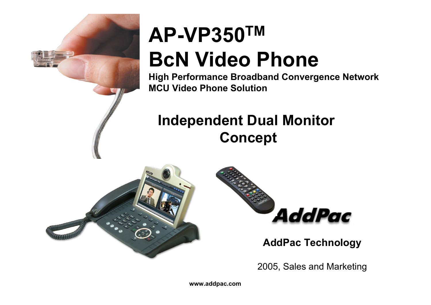

## **AP-VP350TM BcN Video Phone**

**High Performance Broadband Convergence Network MCU Video Phone Solution**

### **Independent Dual Monitor Concept**





#### **AddPac Technology**

2005, Sales and Marketing

**www.addpac.com**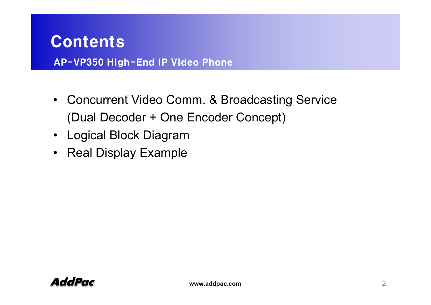#### Contents

AP-VP350 High-End IP Video Phone

- Concurrent Video Comm. & Broadcasting Service (Dual Decoder + One Encoder Concept)
- Logical Block Diagram
- Real Display Example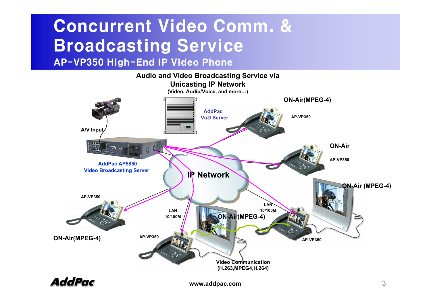## Concurrent Video Comm. & Broadcasting Service

AP-VP350 High-End IP Video Phone



AddPac

**www.addpac.com** 3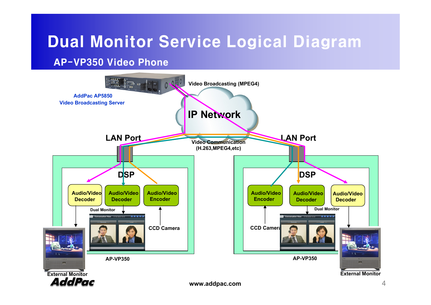### Dual Monitor Service Logical Diagram

AP-VP350 Video Phone

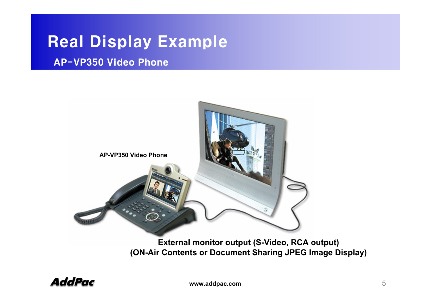#### Real Display Example

#### AP-VP350 Video Phone



**(ON-Air Contents or Document Sharing JPEG Image Display)**